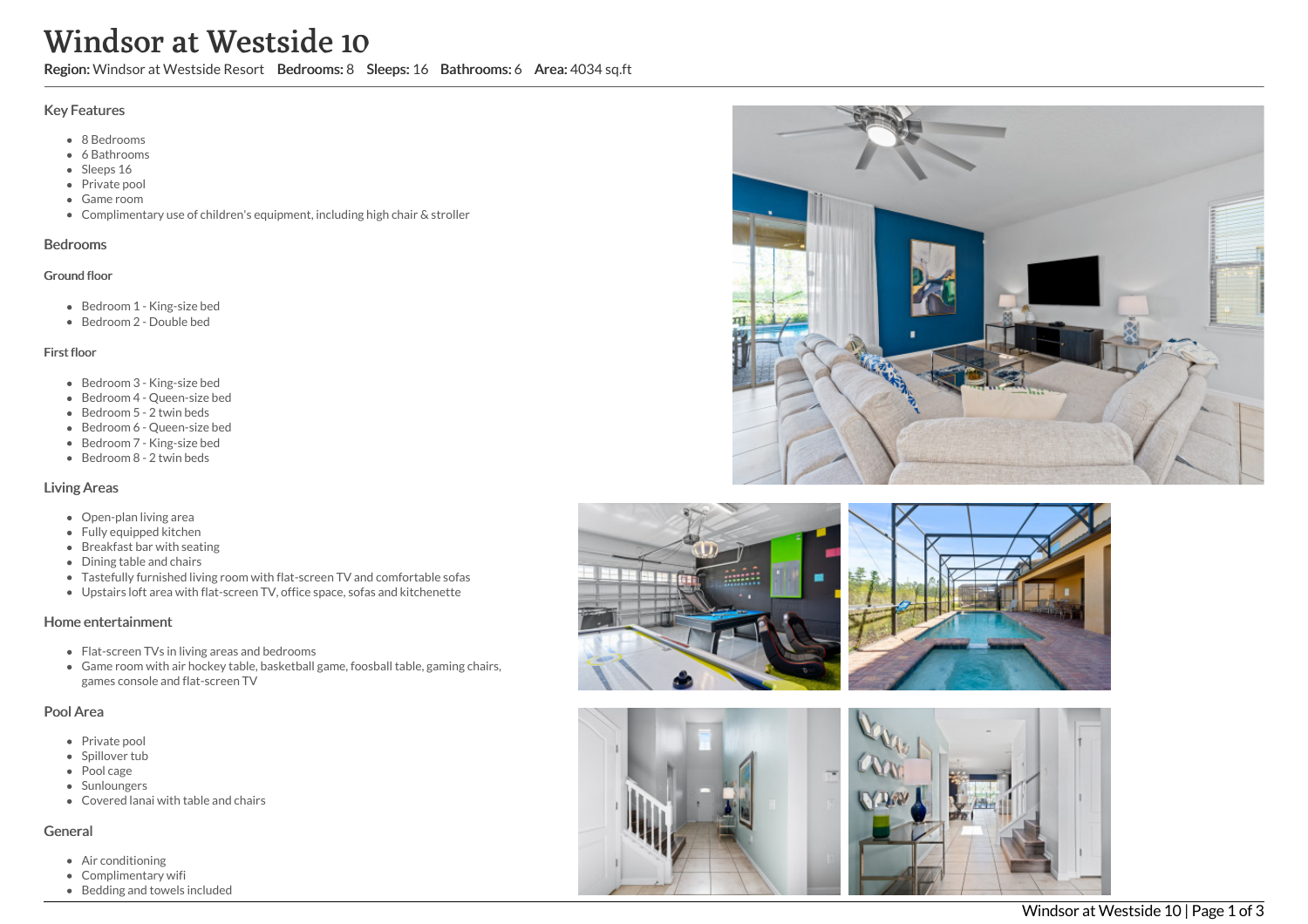# Windsor at Westside 10

Region: Windsor at Westside Resort Bedrooms: 8 Sleeps: 16 Bathrooms: 6 Area: 4034 sq.ft

# Key Features

- 8 Bedrooms
- 6 Bathrooms
- Sleeps 16
- Private pool
- Game room
- Complimentary use of children's equipment, including high chair & stroller

#### Bedrooms

#### Ground floor

- Bedroom 1 King-size bed
- Bedroom 2 Double bed

#### First floor

- Bedroom 3 King-size bed
- Bedroom 4 Queen-size bed
- Bedroom 5 2 twin beds
- Bedroom 6 Queen-size bed
- Bedroom 7 King-size bed
- $\bullet$  Bedroom 8 2 twin beds

# Living Areas

- Open-plan living area
- Fully equipped kitchen
- Breakfast bar with seating
- Dining table and chairs
- Tastefully furnished living room with flat-screen TV and comfortable sofas
- Upstairs loft area with flat-screen TV, office space, sofas and kitchenette

# Home entertainment

- Flat-screen TVs in living areas and bedrooms
- Game room with air hockey table, basketball game, foosball table, gaming chairs, games console and flat-screen TV

# Pool Area

- Private pool
- Spillover tub
- Pool cage
- Sunloungers
- Covered lanai with table and chairs

# General

- Air conditioning
- Complimentary wifi
- Bedding and towels included







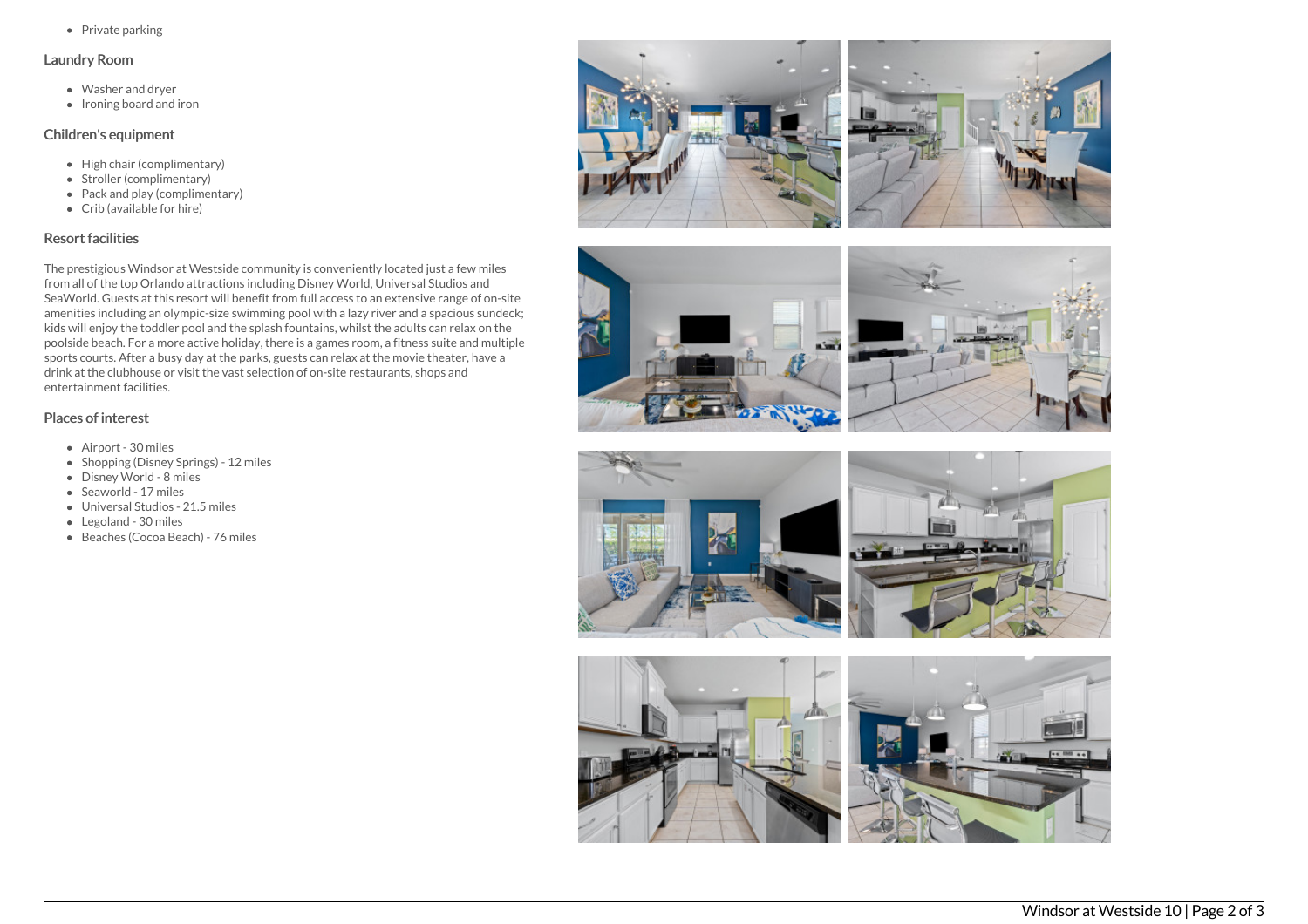$\bullet$  Private parking

#### Laundry Room

- Washer and dryer
- Ironing board and iron

# Children's equipment

- High chair (complimentary)
- Stroller (complimentary)
- Pack and play (complimentary)
- Crib (available for hire)

# Resort facilities

The prestigious Windsor at Westside community is conveniently located just a few miles from all of the top Orlando attractions including Disney World, Universal Studios and SeaWorld. Guests at this resort will benefit from full access to an extensive range of on-site amenities including an olympic-size swimming pool with a lazy river and a spacious sundeck; kids will enjoy the toddler pool and the splash fountains, whilst the adults can relax on the poolside beach. For a more active holiday, there is a games room, a fitness suite and multiple sports courts. After a busy day at the parks, guests can relax at the movie theater, have a drink at the clubhouse or visit the vast selection of on-site restaurants, shops and entertainment facilities.

# Places of interest

- Airport 30 miles
- Shopping (Disney Springs) 12 miles
- Disney World 8 miles
- Seaworld 17 miles
- Universal Studios 21.5 miles
- Legoland 30 miles
- Beaches (Cocoa Beach) 76 miles